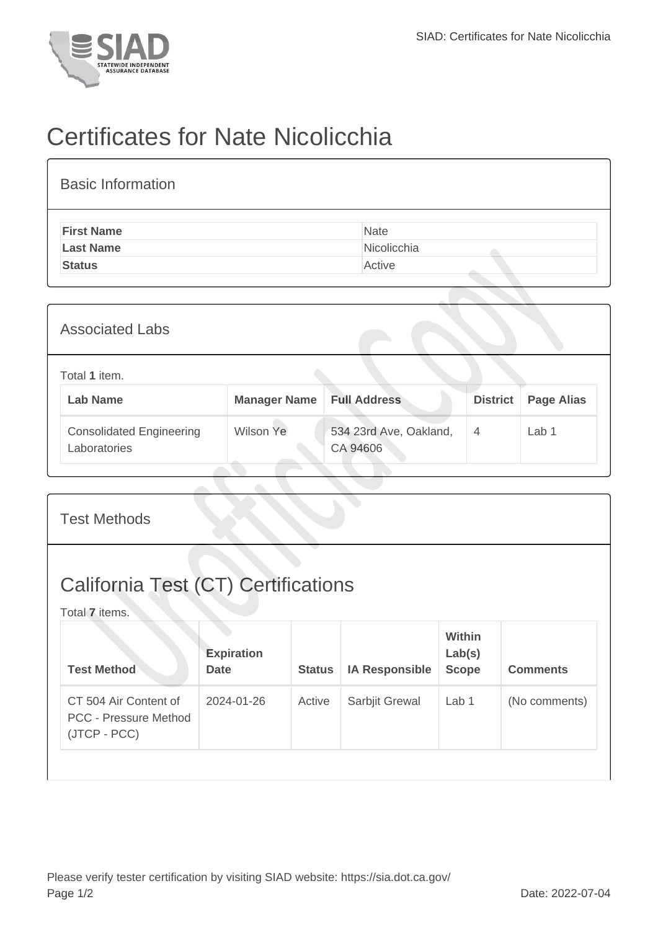

## Certificates for Nate Nicolicchia

| <b>Basic Information</b> |             |
|--------------------------|-------------|
| <b>First Name</b>        | Nate        |
| <b>Last Name</b>         | Nicolicchia |
| <b>Status</b>            | Active      |

| <b>Associated Labs</b>                          |                     |                                    |                 |                   |  |
|-------------------------------------------------|---------------------|------------------------------------|-----------------|-------------------|--|
| Total 1 item.<br><b>Lab Name</b>                | <b>Manager Name</b> | <b>Full Address</b>                | <b>District</b> | <b>Page Alias</b> |  |
| <b>Consolidated Engineering</b><br>Laboratories | Wilson Ye           | 534 23rd Ave, Oakland,<br>CA 94606 | $\overline{4}$  | Lab 1             |  |

| <b>California Test (CT) Certifications</b>                                                                                           |                 |
|--------------------------------------------------------------------------------------------------------------------------------------|-----------------|
| Total 7 items.                                                                                                                       |                 |
| Within<br><b>Expiration</b><br>Lab(s)<br><b>Test Method</b><br><b>IA Responsible</b><br><b>Scope</b><br><b>Date</b><br><b>Status</b> | <b>Comments</b> |
| CT 504 Air Content of<br>2024-01-26<br>Active<br>Sarbjit Grewal<br>Lab <sub>1</sub><br><b>PCC - Pressure Method</b><br>(JTCP - PCC)  | (No comments)   |